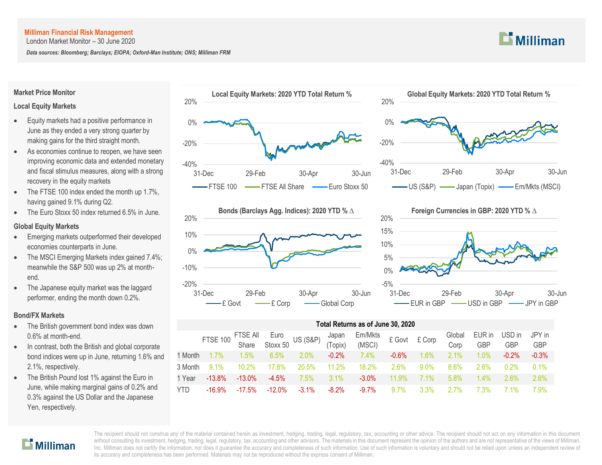London Market Monitor – 30 June 2020

*Data sources: Bloomberg; Barclays; EIOPA; Oxford-Man Institute; ONS; Milliman FRM*

# $\mathbf{L}$  Milliman

### **Market Price Monitor**

## **Local Equity Markets**

- Equity markets had a positive performance in June as they ended a very strong quarter by making gains for the third straight month.
- As economies continue to reopen, we have seen improving economic data and extended monetary and fiscal stimulus measures, along with a strong recovery in the equity markets
- The FTSE 100 index ended the month up 1.7%, having gained 9.1% during Q2.
- The Euro Stoxx 50 index returned 6.5% in June.

# **Global Equity Markets**

- Emerging markets outperformed their developed economies counterparts in June.
- The MSCI Emerging Markets index gained 7.4%; meanwhile the S&P 500 was up 2% at monthend.
- The Japanese equity market was the laggard performer, ending the month down 0.2%.

## **Bond/FX Markets**

- The British government bond index was down 0.6% at month-end.
- In contrast, both the British and global corporate bond indices were up in June, returning 1.6% and 2.1%, respectively.
- The British Pound lost 1% against the Euro in June, while making marginal gains of 0.2% and 0.3% against the US Dollar and the Japanese Yen, respectively.









| Total Returns as of June 30, 2020 |                 |                                 |           |                     |                  |                   |         |        |                |               |               |                      |
|-----------------------------------|-----------------|---------------------------------|-----------|---------------------|------------------|-------------------|---------|--------|----------------|---------------|---------------|----------------------|
|                                   | <b>FTSE 100</b> | FTSE All Euro<br>Share Stoxx 50 |           | <b>US (S&amp;P)</b> | Japan<br>(Topix) | Em/Mkts<br>(MSCI) | £ Govt  | £ Corp | Global<br>Corp | EUR in<br>GBP | USD in<br>GBP | JPY in<br><b>GBP</b> |
| 1 Month                           | $1.7\%$         | $1.5\%$                         | 6.5%      | 2.0%                | $-0.2%$          | $7.4\%$           | $-0.6%$ | 1.6%   | 2.1%           | 1.0%          | $-0.2%$       | $-0.3%$              |
| 3 Month                           | $9.1\%$         | 10.2%                           | 17.8%     | 20.5%               | 11.2%            | 18.2%             | 2.6%    | 9.0%   | 8.6%           | 2.6%          | 0.2%          | 0.1%                 |
| 1 Year                            | $-13.8%$        | $-13.0\%$                       | $-4.5%$   | 7.5%                | 3.1%             | $-3.0%$           | 11.9%   | 7.1%   | 5.8%           | $1.4\%$       | 2.6%          | $2.6\%$              |
| <b>YTD</b>                        | $-16.9%$        | $-17.5%$                        | $-12.0\%$ | $-3.1%$             | $-8.2%$          | $-9.7%$           | 9.7%    | 3.3%   | 27%            | 7.3%          | 7 1%          | 7.9%                 |

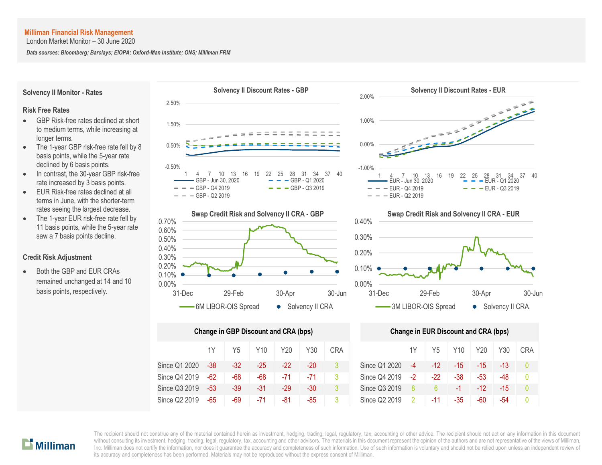London Market Monitor – 30 June 2020

*Data sources: Bloomberg; Barclays; EIOPA; Oxford-Man Institute; ONS; Milliman FRM*



 $\mathbf{L}$  Milliman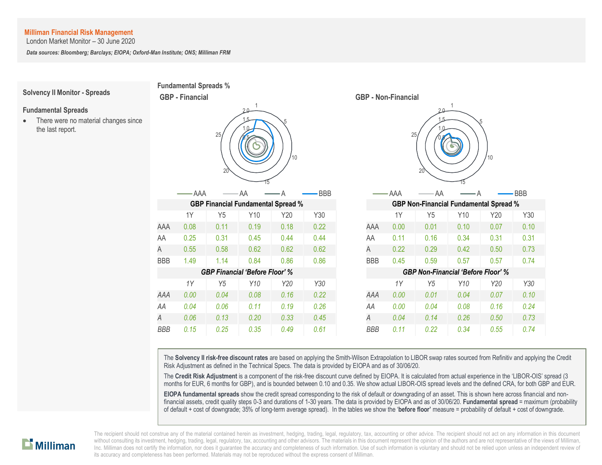London Market Monitor – 30 June 2020

*Data sources: Bloomberg; Barclays; EIOPA; Oxford-Man Institute; ONS; Milliman FRM*



The **Solvency II risk-free discount rates** are based on applying the Smith-Wilson Extrapolation to LIBOR swap rates sourced from Refinitiv and applying the Credit Risk Adjustment as defined in the Technical Specs. The data is provided by EIOPA and as of 30/06/20.

The **Credit Risk Adjustment** is a component of the risk-free discount curve defined by EIOPA. It is calculated from actual experience in the 'LIBOR-OIS' spread (3 months for EUR, 6 months for GBP), and is bounded between 0.10 and 0.35. We show actual LIBOR-OIS spread levels and the defined CRA, for both GBP and EUR.

**EIOPA fundamental spreads** show the credit spread corresponding to the risk of default or downgrading of an asset. This is shown here across financial and nonfinancial assets, credit quality steps 0-3 and durations of 1-30 years. The data is provided by EIOPA and as of 30/06/20. **Fundamental spread** = maximum (probability of default + cost of downgrade; 35% of long-term average spread). In the tables we show the '**before floor'** measure = probability of default + cost of downgrade.

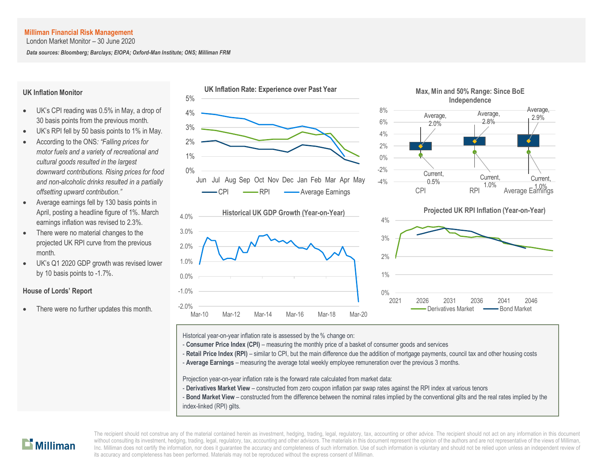London Market Monitor – 30 June 2020

*Data sources: Bloomberg; Barclays; EIOPA; Oxford-Man Institute; ONS; Milliman FRM*

#### **UK Inflation Monitor**

- UK's CPI reading was 0.5% in May, a drop of 30 basis points from the previous month.
- UK's RPI fell by 50 basis points to 1% in May.
- According to the ONS*: "Falling prices for motor fuels and a variety of recreational and cultural goods resulted in the largest downward contributions. Rising prices for food and non-alcoholic drinks resulted in a partially offsetting upward contribution."*
- Average earnings fell by 130 basis points in April, posting a headline figure of 1%. March earnings inflation was revised to 2.3%.
- There were no material changes to the projected UK RPI curve from the previous month.
- UK's Q1 2020 GDP growth was revised lower by 10 basis points to -1.7%.

### **House of Lords' Report**

There were no further updates this month.



Average, 2.9%

Current,

Derivatives Market - Bond Market

Historical year-on-year inflation rate is assessed by the % change on:

Mar-10 Mar-12 Mar-14 Mar-16 Mar-18 Mar-20

-2.0%

- **Consumer Price Index (CPI)** measuring the monthly price of a basket of consumer goods and services
- Retail Price Index (RPI) similar to CPI, but the main difference due the addition of mortgage payments, council tax and other housing costs
- A **Average Earnings** measuring the average total weekly employee remuneration over the previous 3 months.

Projection year-on-year inflation rate is the forward rate calculated from market data:

- **Derivatives Market View** constructed from zero coupon inflation par swap rates against the RPI index at various tenors
- **Bond Market View** constructed from the difference between the nominal rates implied by the conventional gilts and the real rates implied by the index-linked (RPI) gilts.

# $\mathbf{L}$  Milliman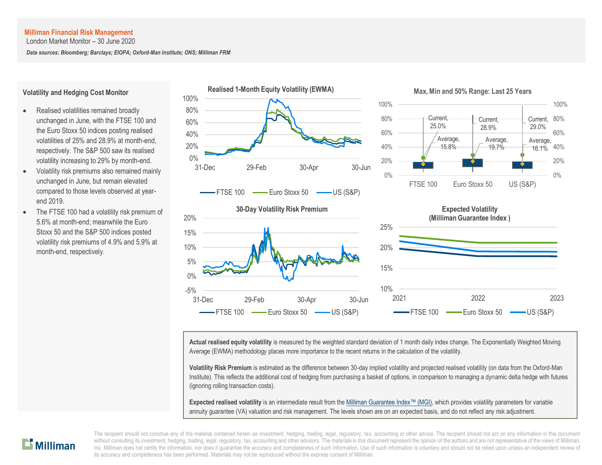London Market Monitor – 30 June 2020

*Data sources: Bloomberg; Barclays; EIOPA; Oxford-Man Institute; ONS; Milliman FRM*

#### **Volatility and Hedging Cost Monitor**

- Realised volatilities remained broadly unchanged in June, with the FTSE 100 and the Euro Stoxx 50 indices posting realised volatilities of 25% and 28.9% at month-end, respectively. The S&P 500 saw its realised volatility increasing to 29% by month-end.
- Volatility risk premiums also remained mainly unchanged in June, but remain elevated compared to those levels observed at yearend 2019.
- The FTSE 100 had a volatility risk premium of 5.6% at month-end; meanwhile the Euro Stoxx 50 and the S&P 500 indices posted volatility risk premiums of 4.9% and 5.9% at month-end, respectively.











**Actual realised equity volatility** is measured by the weighted standard deviation of 1 month daily index change. The Exponentially Weighted Moving Average (EWMA) methodology places more importance to the recent returns in the calculation of the volatility.

**Volatility Risk Premium** is estimated as the difference between 30-day implied volatility and projected realised volatility (on data from the Oxford-Man Institute). This reflects the additional cost of hedging from purchasing a basket of options, in comparison to managing a dynamic delta hedge with futures (ignoring rolling transaction costs).

**Expected realised volatility** is an intermediate result from the [Milliman Guarantee Index](http://uk.milliman.com/Solutions/Products/The-Milliman-Guarantee-Index-and-Milliman-Hedge-Cost-Index/)™ (MGI), which provides volatility parameters for variable annuity guarantee (VA) valuation and risk management. The levels shown are on an expected basis, and do not reflect any risk adjustment.